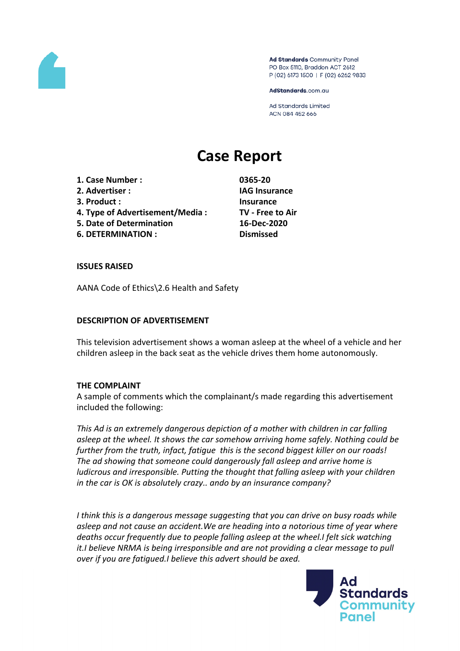

Ad Standards Community Panel PO Box 5110, Braddon ACT 2612 P (02) 6173 1500 | F (02) 6262 9833

AdStandards.com.au

**Ad Standards Limited** ACN 084 452 666

# **Case Report**

**1. Case Number : 0365-20 2. Advertiser : IAG Insurance 3. Product : Insurance 4. Type of Advertisement/Media : TV - Free to Air 5. Date of Determination 16-Dec-2020 6. DETERMINATION : Dismissed**

#### **ISSUES RAISED**

AANA Code of Ethics\2.6 Health and Safety

#### **DESCRIPTION OF ADVERTISEMENT**

This television advertisement shows a woman asleep at the wheel of a vehicle and her children asleep in the back seat as the vehicle drives them home autonomously.

#### **THE COMPLAINT**

A sample of comments which the complainant/s made regarding this advertisement included the following:

*This Ad is an extremely dangerous depiction of a mother with children in car falling asleep at the wheel. It shows the car somehow arriving home safely. Nothing could be further from the truth, infact, fatigue this is the second biggest killer on our roads! The ad showing that someone could dangerously fall asleep and arrive home is ludicrous and irresponsible. Putting the thought that falling asleep with your children in the car is OK is absolutely crazy.. ando by an insurance company?*

*I think this is a dangerous message suggesting that you can drive on busy roads while asleep and not cause an accident.We are heading into a notorious time of year where deaths occur frequently due to people falling asleep at the wheel.I felt sick watching it.I believe NRMA is being irresponsible and are not providing a clear message to pull over if you are fatigued.I believe this advert should be axed.*

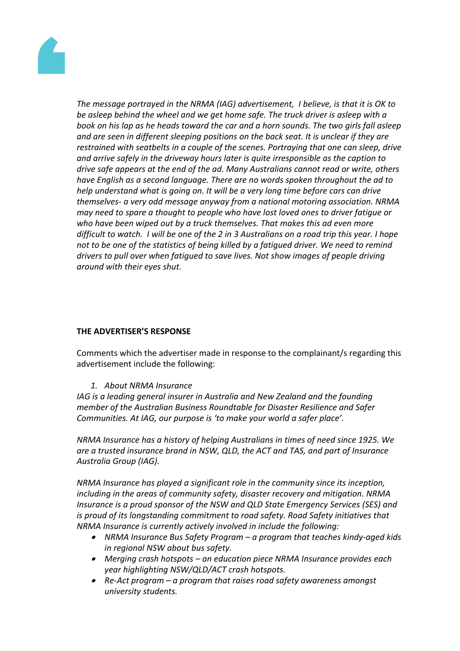

*The message portrayed in the NRMA (IAG) advertisement, I believe, is that it is OK to be asleep behind the wheel and we get home safe. The truck driver is asleep with a book on his lap as he heads toward the car and a horn sounds. The two girls fall asleep and are seen in different sleeping positions on the back seat. It is unclear if they are restrained with seatbelts in a couple of the scenes. Portraying that one can sleep, drive and arrive safely in the driveway hours later is quite irresponsible as the caption to drive safe appears at the end of the ad. Many Australians cannot read or write, others have English as a second language. There are no words spoken throughout the ad to help understand what is going on. It will be a very long time before cars can drive themselves- a very odd message anyway from a national motoring association. NRMA may need to spare a thought to people who have lost loved ones to driver fatigue or who have been wiped out by a truck themselves. That makes this ad even more* difficult to watch. I will be one of the 2 in 3 Australians on a road trip this year. I hope *not to be one of the statistics of being killed by a fatigued driver. We need to remind drivers to pull over when fatigued to save lives. Not show images of people driving around with their eyes shut.*

# **THE ADVERTISER'S RESPONSE**

Comments which the advertiser made in response to the complainant/s regarding this advertisement include the following:

#### *1. About NRMA Insurance*

*IAG is a leading general insurer in Australia and New Zealand and the founding member of the Australian Business Roundtable for Disaster Resilience and Safer Communities. At IAG, our purpose is 'to make your world a safer place'.*

*NRMA Insurance has a history of helping Australians in times of need since 1925. We are a trusted insurance brand in NSW, QLD, the ACT and TAS, and part of Insurance Australia Group (IAG).*

*NRMA Insurance has played a significant role in the community since its inception, including in the areas of community safety, disaster recovery and mitigation. NRMA Insurance is a proud sponsor of the NSW and QLD State Emergency Services (SES) and is proud of its longstanding commitment to road safety. Road Safety initiatives that NRMA Insurance is currently actively involved in include the following:*

- *NRMA Insurance Bus Safety Program – a program that teaches kindy-aged kids in regional NSW about bus safety.*
- *Merging crash hotspots – an education piece NRMA Insurance provides each year highlighting NSW/QLD/ACT crash hotspots.*
- *Re-Act program – a program that raises road safety awareness amongst university students.*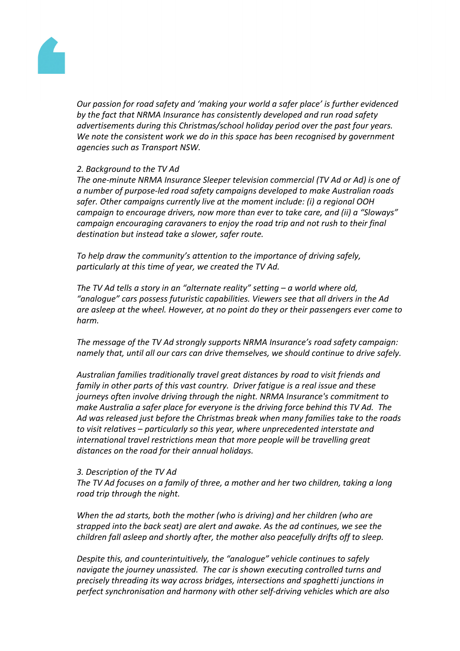

*Our passion for road safety and 'making your world a safer place' is further evidenced by the fact that NRMA Insurance has consistently developed and run road safety advertisements during this Christmas/school holiday period over the past four years. We note the consistent work we do in this space has been recognised by government agencies such as Transport NSW.* 

#### *2. Background to the TV Ad*

*The one-minute NRMA Insurance Sleeper television commercial (TV Ad or Ad) is one of a number of purpose-led road safety campaigns developed to make Australian roads safer. Other campaigns currently live at the moment include: (i) a regional OOH campaign to encourage drivers, now more than ever to take care, and (ii) a "Sloways" campaign encouraging caravaners to enjoy the road trip and not rush to their final destination but instead take a slower, safer route.* 

*To help draw the community's attention to the importance of driving safely, particularly at this time of year, we created the TV Ad.*

*The TV Ad tells a story in an "alternate reality" setting – a world where old, "analogue" cars possess futuristic capabilities. Viewers see that all drivers in the Ad are asleep at the wheel. However, at no point do they or their passengers ever come to harm.*

*The message of the TV Ad strongly supports NRMA Insurance's road safety campaign: namely that, until all our cars can drive themselves, we should continue to drive safely.*

*Australian families traditionally travel great distances by road to visit friends and family in other parts of this vast country. Driver fatigue is a real issue and these journeys often involve driving through the night. NRMA Insurance's commitment to make Australia a safer place for everyone is the driving force behind this TV Ad. The Ad was released just before the Christmas break when many families take to the roads to visit relatives – particularly so this year, where unprecedented interstate and international travel restrictions mean that more people will be travelling great distances on the road for their annual holidays.*

#### *3. Description of the TV Ad*

*The TV Ad focuses on a family of three, a mother and her two children, taking a long road trip through the night.*

*When the ad starts, both the mother (who is driving) and her children (who are strapped into the back seat) are alert and awake. As the ad continues, we see the children fall asleep and shortly after, the mother also peacefully drifts off to sleep.* 

*Despite this, and counterintuitively, the "analogue" vehicle continues to safely navigate the journey unassisted. The car is shown executing controlled turns and precisely threading its way across bridges, intersections and spaghetti junctions in perfect synchronisation and harmony with other self-driving vehicles which are also*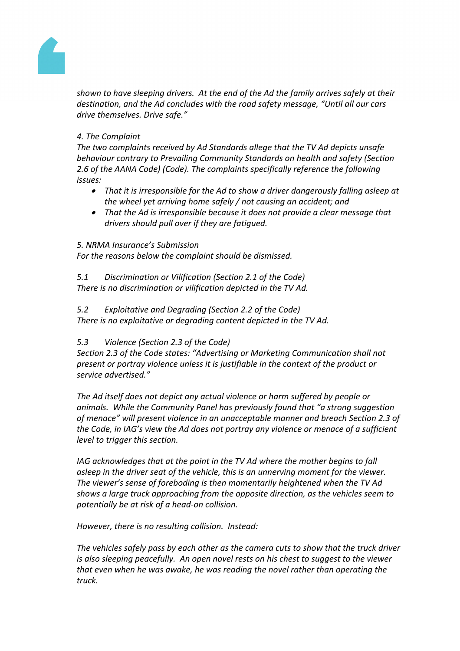

*shown to have sleeping drivers. At the end of the Ad the family arrives safely at their destination, and the Ad concludes with the road safety message, "Until all our cars drive themselves. Drive safe."*

# *4. The Complaint*

*The two complaints received by Ad Standards allege that the TV Ad depicts unsafe behaviour contrary to Prevailing Community Standards on health and safety (Section 2.6 of the AANA Code) (Code). The complaints specifically reference the following issues:*

- *That it is irresponsible for the Ad to show a driver dangerously falling asleep at the wheel yet arriving home safely / not causing an accident; and*
- *That the Ad is irresponsible because it does not provide a clear message that drivers should pull over if they are fatigued.*

#### *5. NRMA Insurance's Submission*

*For the reasons below the complaint should be dismissed.*

*5.1 Discrimination or Vilification (Section 2.1 of the Code) There is no discrimination or vilification depicted in the TV Ad.*

# *5.2 Exploitative and Degrading (Section 2.2 of the Code)*

*There is no exploitative or degrading content depicted in the TV Ad.*

# *5.3 Violence (Section 2.3 of the Code)*

*Section 2.3 of the Code states: "Advertising or Marketing Communication shall not present or portray violence unless it is justifiable in the context of the product or service advertised."*

*The Ad itself does not depict any actual violence or harm suffered by people or animals. While the Community Panel has previously found that "a strong suggestion of menace" will present violence in an unacceptable manner and breach Section 2.3 of the Code, in IAG's view the Ad does not portray any violence or menace of a sufficient level to trigger this section.*

*IAG acknowledges that at the point in the TV Ad where the mother begins to fall asleep in the driver seat of the vehicle, this is an unnerving moment for the viewer. The viewer's sense of foreboding is then momentarily heightened when the TV Ad shows a large truck approaching from the opposite direction, as the vehicles seem to potentially be at risk of a head-on collision.*

*However, there is no resulting collision. Instead:*

*The vehicles safely pass by each other as the camera cuts to show that the truck driver is also sleeping peacefully. An open novel rests on his chest to suggest to the viewer that even when he was awake, he was reading the novel rather than operating the truck.*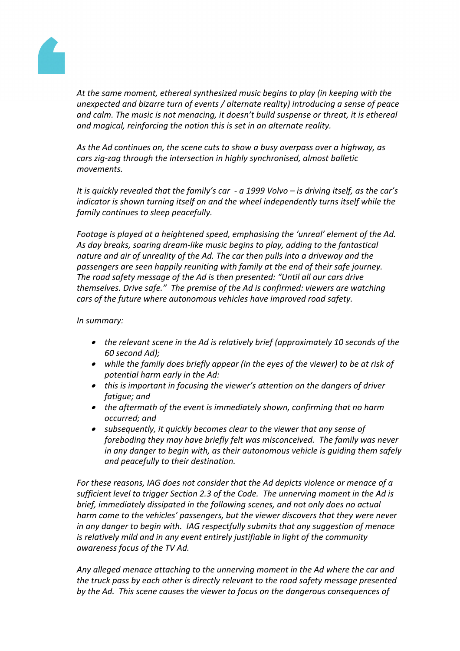

*At the same moment, ethereal synthesized music begins to play (in keeping with the unexpected and bizarre turn of events / alternate reality) introducing a sense of peace and calm. The music is not menacing, it doesn't build suspense or threat, it is ethereal and magical, reinforcing the notion this is set in an alternate reality.*

*As the Ad continues on, the scene cuts to show a busy overpass over a highway, as cars zig-zag through the intersection in highly synchronised, almost balletic movements.*

*It is quickly revealed that the family's car - a 1999 Volvo – is driving itself, as the car's indicator is shown turning itself on and the wheel independently turns itself while the family continues to sleep peacefully.*

*Footage is played at a heightened speed, emphasising the 'unreal' element of the Ad. As day breaks, soaring dream-like music begins to play, adding to the fantastical nature and air of unreality of the Ad. The car then pulls into a driveway and the passengers are seen happily reuniting with family at the end of their safe journey. The road safety message of the Ad is then presented: "Until all our cars drive themselves. Drive safe." The premise of the Ad is confirmed: viewers are watching cars of the future where autonomous vehicles have improved road safety.*

#### *In summary:*

- *the relevant scene in the Ad is relatively brief (approximately 10 seconds of the 60 second Ad);*
- *while the family does briefly appear (in the eyes of the viewer) to be at risk of potential harm early in the Ad:*
- *this is important in focusing the viewer's attention on the dangers of driver fatigue; and*
- *the aftermath of the event is immediately shown, confirming that no harm occurred; and*
- *subsequently, it quickly becomes clear to the viewer that any sense of foreboding they may have briefly felt was misconceived. The family was never in any danger to begin with, as their autonomous vehicle is guiding them safely and peacefully to their destination.*

*For these reasons, IAG does not consider that the Ad depicts violence or menace of a sufficient level to trigger Section 2.3 of the Code. The unnerving moment in the Ad is brief, immediately dissipated in the following scenes, and not only does no actual harm come to the vehicles' passengers, but the viewer discovers that they were never in any danger to begin with. IAG respectfully submits that any suggestion of menace is relatively mild and in any event entirely justifiable in light of the community awareness focus of the TV Ad.* 

*Any alleged menace attaching to the unnerving moment in the Ad where the car and the truck pass by each other is directly relevant to the road safety message presented by the Ad. This scene causes the viewer to focus on the dangerous consequences of*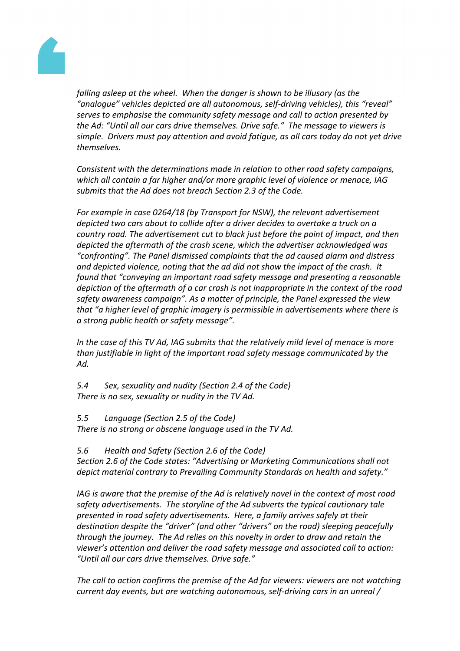

*falling asleep at the wheel. When the danger is shown to be illusory (as the "analogue" vehicles depicted are all autonomous, self-driving vehicles), this "reveal" serves to emphasise the community safety message and call to action presented by the Ad: "Until all our cars drive themselves. Drive safe." The message to viewers is simple. Drivers must pay attention and avoid fatigue, as all cars today do not yet drive themselves.*

*Consistent with the determinations made in relation to other road safety campaigns, which all contain a far higher and/or more graphic level of violence or menace, IAG submits that the Ad does not breach Section 2.3 of the Code.* 

*For example in case 0264/18 (by Transport for NSW), the relevant advertisement depicted two cars about to collide after a driver decides to overtake a truck on a country road. The advertisement cut to black just before the point of impact, and then depicted the aftermath of the crash scene, which the advertiser acknowledged was "confronting". The Panel dismissed complaints that the ad caused alarm and distress and depicted violence, noting that the ad did not show the impact of the crash. It found that "conveying an important road safety message and presenting a reasonable depiction of the aftermath of a car crash is not inappropriate in the context of the road safety awareness campaign". As a matter of principle, the Panel expressed the view that "a higher level of graphic imagery is permissible in advertisements where there is a strong public health or safety message".* 

*In the case of this TV Ad, IAG submits that the relatively mild level of menace is more than justifiable in light of the important road safety message communicated by the Ad.*

*5.4 Sex, sexuality and nudity (Section 2.4 of the Code) There is no sex, sexuality or nudity in the TV Ad.*

*5.5 Language (Section 2.5 of the Code)*

*There is no strong or obscene language used in the TV Ad.*

*5.6 Health and Safety (Section 2.6 of the Code)*

*Section 2.6 of the Code states: "Advertising or Marketing Communications shall not depict material contrary to Prevailing Community Standards on health and safety."*

*IAG is aware that the premise of the Ad is relatively novel in the context of most road safety advertisements. The storyline of the Ad subverts the typical cautionary tale presented in road safety advertisements. Here, a family arrives safely at their destination despite the "driver" (and other "drivers" on the road) sleeping peacefully through the journey. The Ad relies on this novelty in order to draw and retain the viewer's attention and deliver the road safety message and associated call to action: "Until all our cars drive themselves. Drive safe."* 

*The call to action confirms the premise of the Ad for viewers: viewers are not watching current day events, but are watching autonomous, self-driving cars in an unreal /*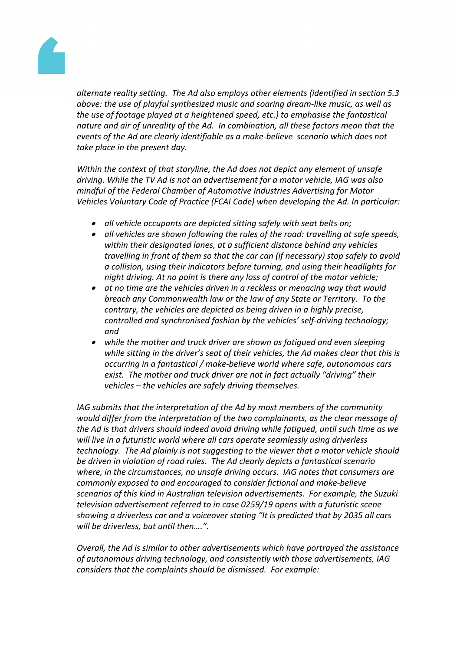

*alternate reality setting. The Ad also employs other elements (identified in section 5.3 above: the use of playful synthesized music and soaring dream-like music, as well as the use of footage played at a heightened speed, etc.) to emphasise the fantastical nature and air of unreality of the Ad. In combination, all these factors mean that the events of the Ad are clearly identifiable as a make-believe scenario which does not take place in the present day.*

*Within the context of that storyline, the Ad does not depict any element of unsafe driving. While the TV Ad is not an advertisement for a motor vehicle, IAG was also mindful of the Federal Chamber of Automotive Industries Advertising for Motor Vehicles Voluntary Code of Practice (FCAI Code) when developing the Ad. In particular:*

- *all vehicle occupants are depicted sitting safely with seat belts on;*
- *all vehicles are shown following the rules of the road: travelling at safe speeds, within their designated lanes, at a sufficient distance behind any vehicles travelling in front of them so that the car can (if necessary) stop safely to avoid a collision, using their indicators before turning, and using their headlights for night driving. At no point is there any loss of control of the motor vehicle;*
- *at no time are the vehicles driven in a reckless or menacing way that would breach any Commonwealth law or the law of any State or Territory. To the contrary, the vehicles are depicted as being driven in a highly precise, controlled and synchronised fashion by the vehicles' self-driving technology; and*
- *while the mother and truck driver are shown as fatigued and even sleeping while sitting in the driver's seat of their vehicles, the Ad makes clear that this is occurring in a fantastical / make-believe world where safe, autonomous cars exist. The mother and truck driver are not in fact actually "driving" their vehicles – the vehicles are safely driving themselves.*

*IAG submits that the interpretation of the Ad by most members of the community would differ from the interpretation of the two complainants, as the clear message of the Ad is that drivers should indeed avoid driving while fatigued, until such time as we will live in a futuristic world where all cars operate seamlessly using driverless technology. The Ad plainly is not suggesting to the viewer that a motor vehicle should be driven in violation of road rules. The Ad clearly depicts a fantastical scenario where, in the circumstances, no unsafe driving occurs. IAG notes that consumers are commonly exposed to and encouraged to consider fictional and make-believe scenarios of this kind in Australian television advertisements. For example, the Suzuki television advertisement referred to in case 0259/19 opens with a futuristic scene showing a driverless car and a voiceover stating "It is predicted that by 2035 all cars will be driverless, but until then….".* 

*Overall, the Ad is similar to other advertisements which have portrayed the assistance of autonomous driving technology, and consistently with those advertisements, IAG considers that the complaints should be dismissed. For example:*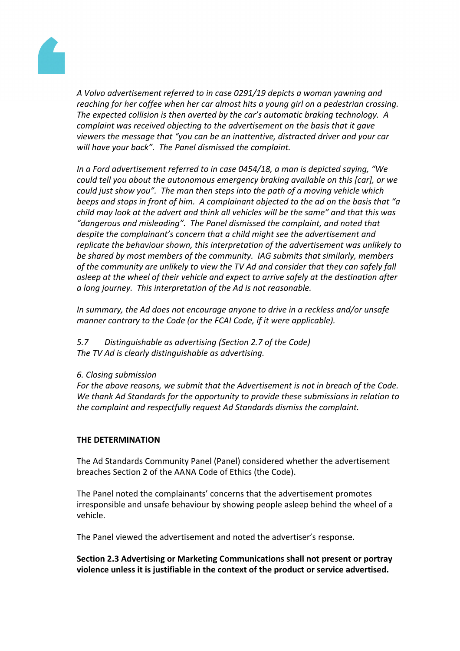

*A Volvo advertisement referred to in case 0291/19 depicts a woman yawning and reaching for her coffee when her car almost hits a young girl on a pedestrian crossing. The expected collision is then averted by the car's automatic braking technology. A complaint was received objecting to the advertisement on the basis that it gave viewers the message that "you can be an inattentive, distracted driver and your car will have your back". The Panel dismissed the complaint.*

*In a Ford advertisement referred to in case 0454/18, a man is depicted saying, "We could tell you about the autonomous emergency braking available on this [car], or we could just show you". The man then steps into the path of a moving vehicle which beeps and stops in front of him. A complainant objected to the ad on the basis that "a child may look at the advert and think all vehicles will be the same" and that this was "dangerous and misleading". The Panel dismissed the complaint, and noted that despite the complainant's concern that a child might see the advertisement and replicate the behaviour shown, this interpretation of the advertisement was unlikely to be shared by most members of the community. IAG submits that similarly, members of the community are unlikely to view the TV Ad and consider that they can safely fall asleep at the wheel of their vehicle and expect to arrive safely at the destination after a long journey. This interpretation of the Ad is not reasonable.*

*In summary, the Ad does not encourage anyone to drive in a reckless and/or unsafe manner contrary to the Code (or the FCAI Code, if it were applicable).*

*5.7 Distinguishable as advertising (Section 2.7 of the Code) The TV Ad is clearly distinguishable as advertising.*

#### *6. Closing submission*

*For the above reasons, we submit that the Advertisement is not in breach of the Code. We thank Ad Standards for the opportunity to provide these submissions in relation to the complaint and respectfully request Ad Standards dismiss the complaint.*

#### **THE DETERMINATION**

The Ad Standards Community Panel (Panel) considered whether the advertisement breaches Section 2 of the AANA Code of Ethics (the Code).

The Panel noted the complainants' concerns that the advertisement promotes irresponsible and unsafe behaviour by showing people asleep behind the wheel of a vehicle.

The Panel viewed the advertisement and noted the advertiser's response.

**Section 2.3 Advertising or Marketing Communications shall not present or portray violence unless it is justifiable in the context of the product or service advertised.**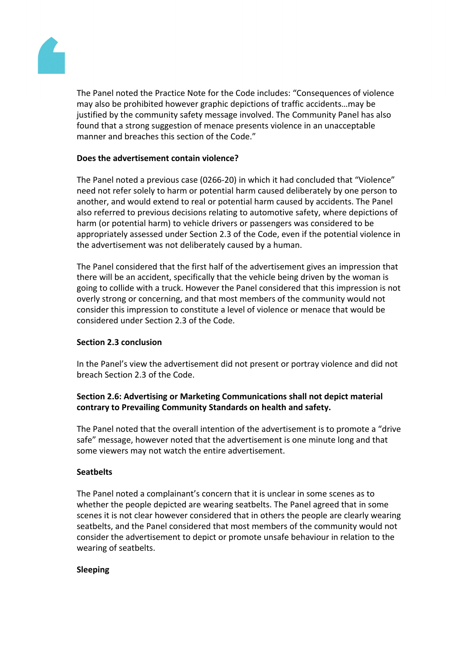

The Panel noted the Practice Note for the Code includes: "Consequences of violence may also be prohibited however graphic depictions of traffic accidents…may be justified by the community safety message involved. The Community Panel has also found that a strong suggestion of menace presents violence in an unacceptable manner and breaches this section of the Code."

### **Does the advertisement contain violence?**

The Panel noted a previous case (0266-20) in which it had concluded that "Violence" need not refer solely to harm or potential harm caused deliberately by one person to another, and would extend to real or potential harm caused by accidents. The Panel also referred to previous decisions relating to automotive safety, where depictions of harm (or potential harm) to vehicle drivers or passengers was considered to be appropriately assessed under Section 2.3 of the Code, even if the potential violence in the advertisement was not deliberately caused by a human.

The Panel considered that the first half of the advertisement gives an impression that there will be an accident, specifically that the vehicle being driven by the woman is going to collide with a truck. However the Panel considered that this impression is not overly strong or concerning, and that most members of the community would not consider this impression to constitute a level of violence or menace that would be considered under Section 2.3 of the Code.

#### **Section 2.3 conclusion**

In the Panel's view the advertisement did not present or portray violence and did not breach Section 2.3 of the Code.

# **Section 2.6: Advertising or Marketing Communications shall not depict material contrary to Prevailing Community Standards on health and safety.**

The Panel noted that the overall intention of the advertisement is to promote a "drive safe" message, however noted that the advertisement is one minute long and that some viewers may not watch the entire advertisement.

#### **Seatbelts**

The Panel noted a complainant's concern that it is unclear in some scenes as to whether the people depicted are wearing seatbelts. The Panel agreed that in some scenes it is not clear however considered that in others the people are clearly wearing seatbelts, and the Panel considered that most members of the community would not consider the advertisement to depict or promote unsafe behaviour in relation to the wearing of seatbelts.

#### **Sleeping**